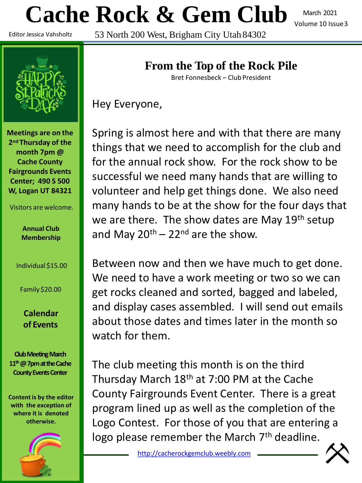# **Cache Rock & Gem Club**

March 2021 Volume 10 Issue3

Editor Jessica Vahsholtz

53 North 200 West, Brigham City Utah 84302



**Meetings are on the 2nd Thursday of the month 7pm @ Cache County Fairgrounds Events Center; 490 S 500 W, Logan UT 84321**

Visitors are welcome.

**Annual Club Membership**

Individual \$15.00

Family \$20.00

**Calendar of Events**

**Club Meeting March 11th@ 7pm at the Cache County Events Center**

**Content is by the editor with the exception of where it is denoted otherwise.**



# **From the Top of the Rock Pile**

Bret Fonnesbeck – Club President

Hey Everyone,

Spring is almost here and with that there are many things that we need to accomplish for the club and for the annual rock show. For the rock show to be successful we need many hands that are willing to volunteer and help get things done. We also need many hands to be at the show for the four days that we are there. The show dates are May 19<sup>th</sup> setup and May  $20^{th}$  –  $22^{nd}$  are the show.

Between now and then we have much to get done. We need to have a work meeting or two so we can get rocks cleaned and sorted, bagged and labeled, and display cases assembled. I will send out emails about those dates and times later in the month so watch for them.

The club meeting this month is on the third Thursday March  $18<sup>th</sup>$  at 7:00 PM at the Cache County Fairgrounds Event Center. There is a great program lined up as well as the completion of the Logo Contest. For those of you that are entering a logo please remember the March 7<sup>th</sup> deadline.

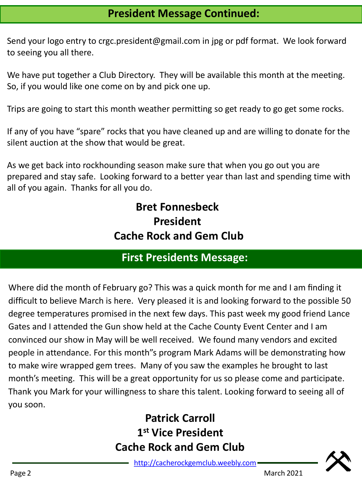# **President Message Continued:**

Send your logo entry to crgc.president@gmail.com in jpg or pdf format. We look forward to seeing you all there.

We have put together a Club Directory. They will be available this month at the meeting. So, if you would like one come on by and pick one up.

Trips are going to start this month weather permitting so get ready to go get some rocks.

If any of you have "spare" rocks that you have cleaned up and are willing to donate for the silent auction at the show that would be great.

As we get back into rockhounding season make sure that when you go out you are prepared and stay safe. Looking forward to a better year than last and spending time with all of you again. Thanks for all you do.

# **Bret Fonnesbeck President Cache Rock and Gem Club**

# **First Presidents Message:**

Where did the month of February go? This was a quick month for me and I am finding it difficult to believe March is here. Very pleased it is and looking forward to the possible 50 degree temperatures promised in the next few days. This past week my good friend Lance Gates and I attended the Gun show held at the Cache County Event Center and I am convinced our show in May will be well received. We found many vendors and excited people in attendance. For this month"s program Mark Adams will be demonstrating how to make wire wrapped gem trees. Many of you saw the examples he brought to last month's meeting. This will be a great opportunity for us so please come and participate. Thank you Mark for your willingness to share this talent. Looking forward to seeing all of you soon.

# **Patrick Carroll 1 st Vice President Cache Rock and Gem Club**

[http://cacherockgemclub.weebly.com](http://cacherockgemclub.weebly.com/)



Page 2 March 2021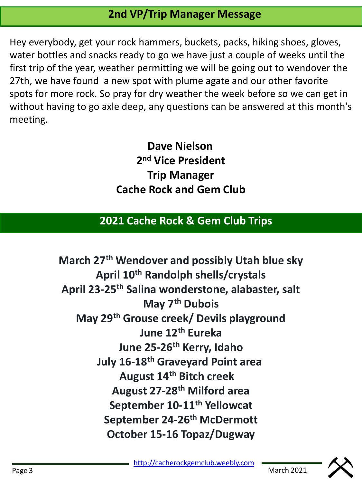# **2nd VP/Trip Manager Message**

Hey everybody, get your rock hammers, buckets, packs, hiking shoes, gloves, water bottles and snacks ready to go we have just a couple of weeks until the first trip of the year, weather permitting we will be going out to wendover the 27th, we have found a new spot with plume agate and our other favorite spots for more rock. So pray for dry weather the week before so we can get in without having to go axle deep, any questions can be answered at this month's meeting.

> **Dave Nielson 2 nd Vice President Trip Manager Cache Rock and Gem Club**

## **2021 Cache Rock & Gem Club Trips**

**March 27th Wendover and possibly Utah blue sky April 10th Randolph shells/crystals April 23-25th Salina wonderstone, alabaster, salt May 7th Dubois May 29th Grouse creek/ Devils playground June 12th Eureka June 25-26th Kerry, Idaho July 16-18th Graveyard Point area August 14th Bitch creek August 27-28th Milford area September 10-11th Yellowcat September 24-26th McDermott October 15-16 Topaz/Dugway**

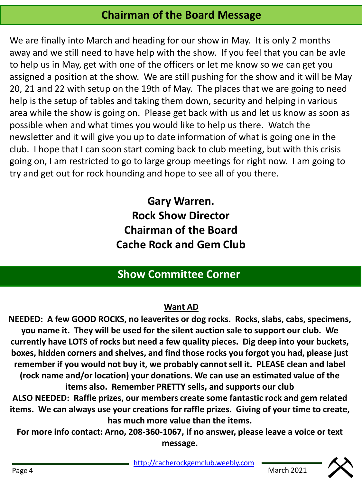# **Chairman of the Board Message**

We are finally into March and heading for our show in May. It is only 2 months away and we still need to have help with the show. If you feel that you can be avle to help us in May, get with one of the officers or let me know so we can get you assigned a position at the show. We are still pushing for the show and it will be May 20, 21 and 22 with setup on the 19th of May. The places that we are going to need help is the setup of tables and taking them down, security and helping in various area while the show is going on. Please get back with us and let us know as soon as possible when and what times you would like to help us there. Watch the newsletter and it will give you up to date information of what is going one in the club. I hope that I can soon start coming back to club meeting, but with this crisis going on, I am restricted to go to large group meetings for right now. I am going to try and get out for rock hounding and hope to see all of you there.

> **Gary Warren. Rock Show Director Chairman of the Board Cache Rock and Gem Club**

# **Show Committee Corner**

### **Want AD**

**NEEDED: A few GOOD ROCKS, no leaverites or dog rocks. Rocks, slabs, cabs, specimens, you name it. They will be used for the silent auction sale to support our club. We currently have LOTS of rocks but need a few quality pieces. Dig deep into your buckets, boxes, hidden corners and shelves, and find those rocks you forgot you had, please just remember if you would not buy it, we probably cannot sell it. PLEASE clean and label (rock name and/or location) your donations. We can use an estimated value of the items also. Remember PRETTY sells, and supports our club ALSO NEEDED: Raffle prizes, our members create some fantastic rock and gem related items. We can always use your creations for raffle prizes. Giving of your time to create, has much more value than the items.**

**For more info contact: Arno, 208-360-1067, if no answer, please leave a voice or text message.** 

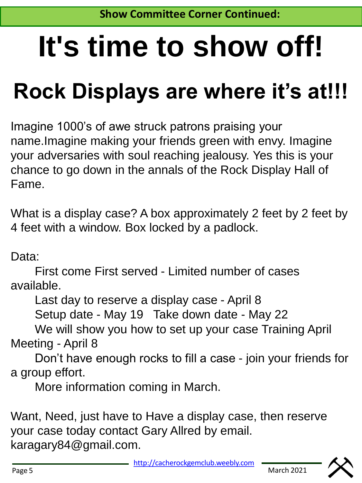# **It's time to show off!**

# **Rock Displays are where it's at!!!**

Imagine 1000's of awe struck patrons praising your name.Imagine making your friends green with envy. Imagine your adversaries with soul reaching jealousy. Yes this is your chance to go down in the annals of the Rock Display Hall of Fame.

What is a display case? A box approximately 2 feet by 2 feet by 4 feet with a window. Box locked by a padlock.

Data:

First come First served - Limited number of cases available.

Last day to reserve a display case - April 8

Setup date - May 19 Take down date - May 22

We will show you how to set up your case Training April Meeting - April 8

Don't have enough rocks to fill a case - join your friends for a group effort.

More information coming in March.

Want, Need, just have to Have a display case, then reserve your case today contact Gary Allred by email. karagary84@gmail.com.

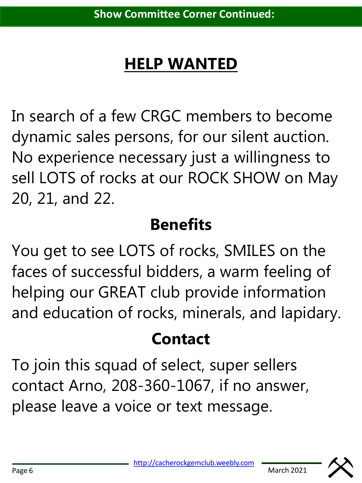# **HELP WANTED**

In search of a few CRGC members to become dynamic sales persons, for our silent auction. No experience necessary just a willingness to sell LOTS of rocks at our ROCK SHOW on May 20, 21, and 22.

# **Benefits**

You get to see LOTS of rocks, SMILES on the faces of successful bidders, a warm feeling of helping our GREAT club provide information and education of rocks, minerals, and lapidary.

# **Contact**

To join this squad of select, super sellers contact Arno, 208-360-1067, if no answer, please leave a voice or text message.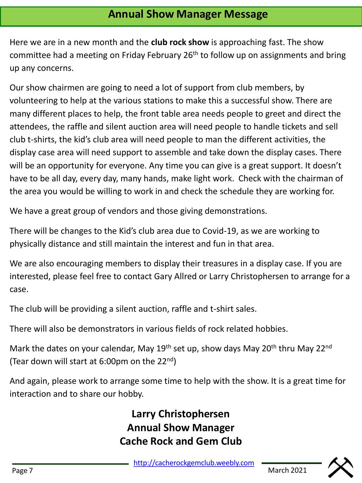Here we are in a new month and the **club rock show** is approaching fast. The show committee had a meeting on Friday February  $26<sup>th</sup>$  to follow up on assignments and bring up any concerns.

Our show chairmen are going to need a lot of support from club members, by volunteering to help at the various stations to make this a successful show. There are many different places to help, the front table area needs people to greet and direct the attendees, the raffle and silent auction area will need people to handle tickets and sell club t-shirts, the kid's club area will need people to man the different activities, the display case area will need support to assemble and take down the display cases. There will be an opportunity for everyone. Any time you can give is a great support. It doesn't have to be all day, every day, many hands, make light work. Check with the chairman of the area you would be willing to work in and check the schedule they are working for.

We have a great group of vendors and those giving demonstrations.

There will be changes to the Kid's club area due to Covid-19, as we are working to physically distance and still maintain the interest and fun in that area.

We are also encouraging members to display their treasures in a display case. If you are interested, please feel free to contact Gary Allred or Larry Christophersen to arrange for a case.

The club will be providing a silent auction, raffle and t-shirt sales.

There will also be demonstrators in various fields of rock related hobbies.

Mark the dates on your calendar, May  $19<sup>th</sup>$  set up, show days May  $20<sup>th</sup>$  thru May  $22<sup>nd</sup>$ (Tear down will start at 6:00pm on the 22nd)

And again, please work to arrange some time to help with the show. It is a great time for interaction and to share our hobby.

> **Larry Christophersen Annual Show Manager Cache Rock and Gem Club**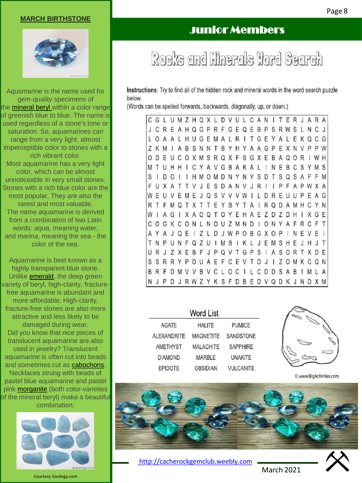#### **MARCH BIRTHSTONE**



Aquamarine is the name used for gem-quality specimens of the [mineral](https://geology.com/minerals/) [beryl](https://geology.com/minerals/beryl.shtml) within a color range of greenish blue to blue. The name is used regardless of a stone's tone or saturation. So, aquamarines can range from a very light, almost imperceptible color to stones with a rich vibrant color. Most aquamarine has a very light color, which can be almost unnoticeable in very small stones. Stones with a rich blue color are the most popular. They are also the rarest and most valuable. The name aquamarine is derived from a combination of two Latin words: *aqua*, meaning water, and *marina*, meaning the sea - the color of the sea.

Aquamarine is best known as a highly transparent blue stone. Unlike [emerald](https://geology.com/gemstones/emerald/), the deep green variety of beryl, high-clarity, fracturefree aquamarine is abundant and more affordable. High-clarity, fracture-free stones are also more attractive and less likely to be damaged during wear. Did you know that nice pieces of translucent aquamarine are also used in jewelry? Translucent aquamarine is often cut into beads and sometimes cut as [cabochons](https://geology.com/cabochons/). Necklaces strung with beads of pastel blue aquamarine and pastel pink [morganite](https://geology.com/gemstones/morganite/) (both color-varieties of the mineral beryl) make a beautiful combination.



#### **Courtesy Geology.com**

# Junior Members

Rocks and Minerals Word Search

Instructions: Try to find all of the hidden rock and mineral words in the word search puzzle below.

(Words can be spelled forwards, backwards, diagonally, up, or down.)

CGLUMZHQXLDVULCANITERJARA J C R E A H Q G P R F G E Q E B P S R W S L N C J LOAALHUGEMALRITGEYALEKQCG Z K M I A B S N N T B Y H Y A A G P E X N V P P W O D E U C O X M S R Q X F S G X E B A Q O R I W H MTUHHICYAVGBAKALINEBCSYMS SIDOIIHMOMDNYNYSDTSQSAFFM F U X A T T V J E S D A N V J R I I P F A P W X A WEUVEMEJQSVVVWILDREUUPEAG RTFMQTXTTEYBYTAIRQDAMHCYN WIAGIXAOQTOYEHAEZDZDHIXGE COGKCONLNOUZMNDIONYAFRCFT AYAJQEIZLDJWPOBGXOPINEVEI TNPUNFQZUIMBIKLJEMSHEJHJT URJZXEBFJPQVTGPS | ASORTXDE S S R R Y P D U A E F C E V T D J I Z O M K C Q N BRFDMVVBVCLOCILCDDSABIMLA N J P D J R W Z Y K S F D B E D V Q D K J N D X M

| Word List          |                  |                  |  |  |
|--------------------|------------------|------------------|--|--|
| AGATE              | <b>HALITE</b>    | <b>PUMICE</b>    |  |  |
| <b>ALEXANDRITE</b> | <b>MAGNETITE</b> | <b>SANDSTONE</b> |  |  |
| AMETHYST           | <b>MALACHITE</b> | <b>SAPPHIRE</b>  |  |  |
| <b>DIAMOND</b>     | <b>MARBLE</b>    | <b>UNAKITE</b>   |  |  |
| <b>EPIDOTE</b>     | <b>OBSIDIAN</b>  | <b>VULCANITE</b> |  |  |



© www.BigActivities.com



[http://cacherockgemclub.weebly.com](http://cacherockgemclub.weebly.com/)



March 2021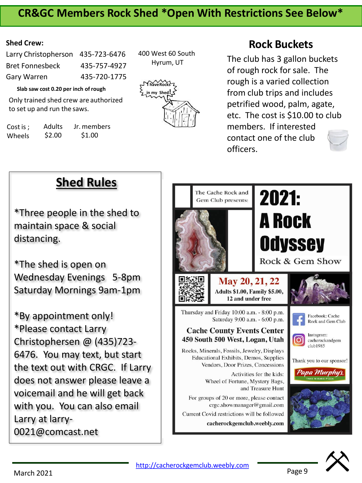## **CR&GC Members Rock Shed \*Open With Restrictions See Below\***

#### **Shed Crew:**

| Larry Christopherson 435-723-6476 |              |
|-----------------------------------|--------------|
| <b>Bret Fonnesbeck</b>            | 435-757-4927 |
| Gary Warren                       | 435-720-1775 |

**Slab saw cost 0.20 per inch ofrough**

Only trained shed crew are authorized to set up and run the saws.

Cost is ; Wheels Adults \$2.00 Jr. members \$1.00

400 West 60 South Hyrum, UT



## **Rock Buckets**

The club has 3 gallon buckets of rough rock for sale. The rough is a varied collection from club trips and includes petrified wood, palm, agate, etc. The cost is \$10.00 to club members. If interested contact one of the club officers.



\*Three people in the shed to maintain space & social distancing.

\*The shed is open on Wednesday Evenings 5-8pm Saturday Mornings 9am-1pm

\*By appointment only! \*Please contact Larry Christophersen @ (435)723- 6476. You may text, but start the text out with CRGC. If Larry does not answer please leave a voicemail and he will get back with you. You can also email Larry at larry-0021@comcast.net

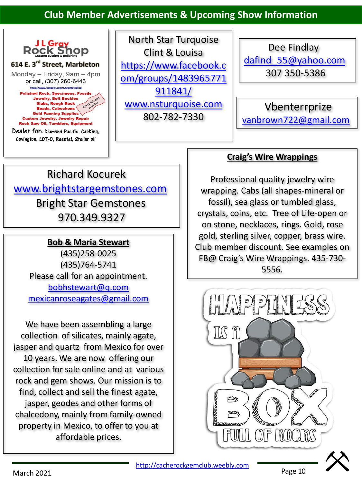### **Club Member Advertisements & Upcoming Show Information**



North Star Turquoise Clint & Louisa https://www.facebook.c [om/groups/1483965771](https://www.facebook.com/groups/1483965771911841/) 911841/ [www.nsturquoise.com](http://www.nsturquoise.com/) 802-782-7330

Dee Findlay [dafind\\_55@yahoo.com](mailto:dafind_55@yahoo.com) 307 350-5386

Vbenterrprize [vanbrown722@gmail.com](mailto:vanbrown722@gmail.com)

# Richard Kocurek [www.brightstargemstones.com](http://www.brightstargemstones.com/) Bright Star Gemstones 970.349.9327

### **Bob & Maria Stewart**

(435)258-0025 (435)764-5741 Please call for an appointment. [bobhstewart@q.com](mailto:bobhstewart@q.com) [mexicanroseagates@gmail.com](mailto:mexicanroseagates@gmail.com)

We have been assembling a large collection of silicates, mainly agate, jasper and quartz from Mexico for over 10 years. We are now offering our collection for sale online and at various rock and gem shows. Our mission is to find, collect and sell the finest agate, jasper, geodes and other forms of chalcedony, mainly from family-owned property in Mexico, to offer to you at affordable prices.

### **Craig's Wire Wrappings**

Professional quality jewelry wire wrapping. Cabs (all shapes-mineral or fossil), sea glass or tumbled glass, crystals, coins, etc. Tree of Life-open or on stone, necklaces, rings. Gold, rose gold, sterling silver, copper, brass wire. Club member discount. See examples on FB@ Craig's Wire Wrappings. 435-730- 5556.